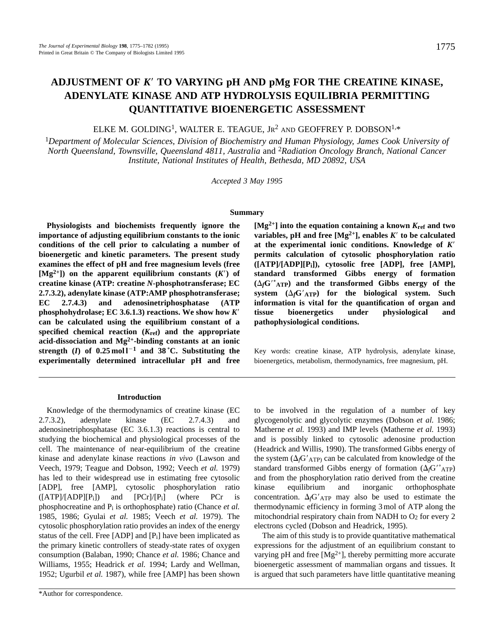# **ADJUSTMENT OF** *K*9 **TO VARYING pH AND pMg FOR THE CREATINE KINASE, ADENYLATE KINASE AND ATP HYDROLYSIS EQUILIBRIA PERMITTING QUANTITATIVE BIOENERGETIC ASSESSMENT**

ELKE M. GOLDING<sup>1</sup>, WALTER E. TEAGUE, JR<sup>2</sup> AND GEOFFREY P. DOBSON<sup>1,\*</sup>

<sup>1</sup>*Department of Molecular Sciences, Division of Biochemistry and Human Physiology, James Cook University of North Queensland, Townsville, Queensland 4811, Australia* and <sup>2</sup>*Radiation Oncology Branch, National Cancer Institute, National Institutes of Health, Bethesda, MD 20892, USA*

*Accepted 3 May 1995*

#### **Summary**

**Physiologists and biochemists frequently ignore the importance of adjusting equilibrium constants to the ionic conditions of the cell prior to calculating a number of bioenergetic and kinetic parameters. The present study examines the effect of pH and free magnesium levels (free**  $[Mg^{2+}]$  on the apparent equilibrium constants  $(K')$  of **creatine kinase (ATP: creatine** *N***-phosphotransferase; EC 2.7.3.2), adenylate kinase (ATP:AMP phosphotransferase; EC 2.7.4.3) and adenosinetriphosphatase (ATP phosphohydrolase; EC 3.6.1.3) reactions. We show how** *K*9 **can be calculated using the equilibrium constant of a specified chemical reaction (***K***ref) and the appropriate acid-dissociation and Mg2+-binding constants at an ionic** strength (*I*) of  $0.25 \text{ mol}^{-1}$  and  $38 \text{ °C}$ . Substituting the **experimentally determined intracellular pH and free**

#### **Introduction**

Knowledge of the thermodynamics of creatine kinase (EC 2.7.3.2), adenylate kinase (EC 2.7.4.3) and adenosinetriphosphatase (EC 3.6.1.3) reactions is central to studying the biochemical and physiological processes of the cell. The maintenance of near-equilibrium of the creatine kinase and adenylate kinase reactions *in vivo* (Lawson and Veech, 1979; Teague and Dobson, 1992; Veech *et al.* 1979) has led to their widespread use in estimating free cytosolic [ADP], free [AMP], cytosolic phosphorylation ratio  $([ATP]/[ADP][P_i])$  and  $[PCr]/[P_i]$  (where PCr is phosphocreatine and Pi is orthophosphate) ratio (Chance *et al.* 1985, 1986; Gyulai *et al.* 1985; Veech *et al.* 1979). The cytosolic phosphorylation ratio provides an index of the energy status of the cell. Free  $[ADP]$  and  $[P_i]$  have been implicated as the primary kinetic controllers of steady-state rates of oxygen consumption (Balaban, 1990; Chance *et al.* 1986; Chance and Williams, 1955; Headrick *et al.* 1994; Lardy and Wellman, 1952; Ugurbil *et al.* 1987), while free [AMP] has been shown

**[Mg2+] into the equation containing a known** *K***ref and two variables, pH** and free  $[Mg^{2+}]$ , enables  $K'$  to be calculated at the experimental ionic conditions. Knowledge of  $K'$ **permits calculation of cytosolic phosphorylation ratio ([ATP]/[ADP][Pi]), cytosolic free [ADP], free [AMP], standard transformed Gibbs energy of formation**  $(A_f G'^* A T)$  and the transformed Gibbs energy of the system  $(\Delta_f G'_{ATP})$  for the biological system. Such **information is vital for the quantification of organ and tissue bioenergetics under physiological and pathophysiological conditions.**

Key words: creatine kinase, ATP hydrolysis, adenylate kinase, bioenergetics, metabolism, thermodynamics, free magnesium, pH.

to be involved in the regulation of a number of key glycogenolytic and glycolytic enzymes (Dobson *et al.* 1986; Matherne *et al.* 1993) and IMP levels (Matherne *et al.* 1993) and is possibly linked to cytosolic adenosine production (Headrick and Willis, 1990). The transformed Gibbs energy of the system  $(\Delta/\text{G}'_{ATP})$  can be calculated from knowledge of the standard transformed Gibbs energy of formation  $(\Delta G^{\prime\,} A T)$ and from the phosphorylation ratio derived from the creatine kinase equilibrium and inorganic orthophosphate concentration.  $\Delta f/\Delta T$ P may also be used to estimate the thermodynamic efficiency in forming 3 mol of ATP along the mitochondrial respiratory chain from NADH to  $O<sub>2</sub>$  for every 2 electrons cycled (Dobson and Headrick, 1995).

The aim of this study is to provide quantitative mathematical expressions for the adjustment of an equilibrium constant to varying pH and free  $[Mg^{2+}]$ , thereby permitting more accurate bioenergetic assessment of mammalian organs and tissues. It is argued that such parameters have little quantitative meaning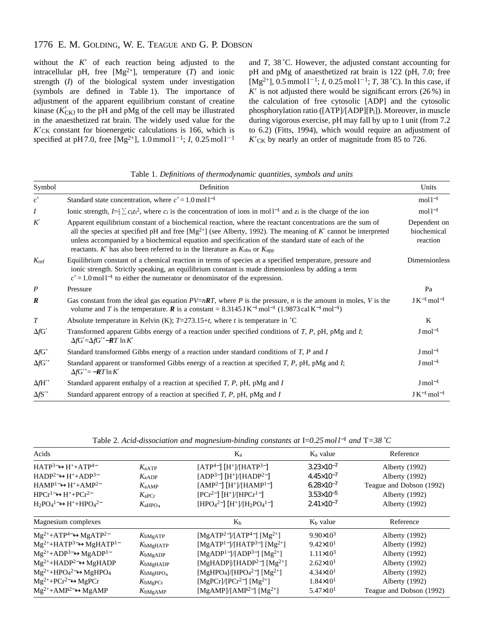# 1776 E. M. GOLDING, W. E. TEAGUE AND G. P. DOBSON

without the  $K^{\prime}$  of each reaction being adjusted to the intracellular pH, free  $[Mg^{2+}]$ , temperature  $(T)$  and ionic strength (*I*) of the biological system under investigation (symbols are defined in Table 1). The importance of adjustment of the apparent equilibrium constant of creatine kinase  $(K'_{CK})$  to the pH and pMg of the cell may be illustrated in the anaesthetized rat brain. The widely used value for the  $K<sub>CK</sub>$  constant for bioenergetic calculations is 166, which is specified at pH 7.0, free  $[Mg^{2+}]$ , 1.0 mmol l<sup>-1</sup>; *I*, 0.25 mol l<sup>-1</sup> and *T*, 38 ˚C. However, the adjusted constant accounting for pH and pMg of anaesthetized rat brain is 122 (pH, 7.0; free  $[Mg^{2+}]$ , 0.5 mmol l<sup>-1</sup>; *I*, 0.25 mol l<sup>-1</sup>; *T*, 38 °C). In this case, if  $K'$  is not adjusted there would be significant errors (26 %) in the calculation of free cytosolic [ADP] and the cytosolic phosphorylation ratio ([ATP]/[ADP][Pi]). Moreover, in muscle during vigorous exercise, pH may fall by up to 1 unit (from 7.2 to 6.2) (Fitts, 1994), which would require an adjustment of  $K<sub>CK</sub>$  by nearly an order of magnitude from 85 to 726.

Table 1. *Definitions of thermodynamic quantities, symbols and units*

| Symbol                      | Definition                                                                                                                                                                                                                                                                                                                                                                                                                                 | Units                                   |
|-----------------------------|--------------------------------------------------------------------------------------------------------------------------------------------------------------------------------------------------------------------------------------------------------------------------------------------------------------------------------------------------------------------------------------------------------------------------------------------|-----------------------------------------|
| $c^{\circ}$                 | Standard state concentration, where $c^{\circ} = 1.0 \,\text{mol}^{-1}$                                                                                                                                                                                                                                                                                                                                                                    | mol <sup>1</sup>                        |
| I                           | Ionic strength, $I=\frac{1}{2}\sum c_i z_i^2$ , where $c_i$ is the concentration of ions in moll <sup>-1</sup> and $z_i$ is the charge of the ion                                                                                                                                                                                                                                                                                          | mol <sup>1</sup>                        |
| K'                          | Apparent equilibrium constant of a biochemical reaction, where the reactant concentrations are the sum of<br>all the species at specified pH and free $[Mg^{2+}]$ (see Alberty, 1992). The meaning of K' cannot be interpreted<br>unless accompanied by a biochemical equation and specification of the standard state of each of the<br>reactants. K' has also been referred to in the literature as $K_{\text{obs}}$ or $K_{\text{app}}$ | Dependent on<br>biochemical<br>reaction |
| $K_{\text{ref}}$            | Equilibrium constant of a chemical reaction in terms of species at a specified temperature, pressure and<br>ionic strength. Strictly speaking, an equilibrium constant is made dimensionless by adding a term<br>$c^{\circ} = 1.0$ mol l <sup>-1</sup> to either the numerator or denominator of the expression.                                                                                                                           | Dimensionless                           |
| $\boldsymbol{P}$            | Pressure                                                                                                                                                                                                                                                                                                                                                                                                                                   | Pa                                      |
| $\boldsymbol{R}$            | Gas constant from the ideal gas equation $PV=nRT$ , where P is the pressure, n is the amount in moles, V is the<br>volume and T is the temperature. <b>R</b> is a constant = $8.3145 \text{ J K}^{-1} \text{ mol}^{-1}$ (1.9873 cal K <sup>-1</sup> mol <sup>-1</sup> )                                                                                                                                                                    | $J K^{-1}$ mol <sup>-1</sup>            |
| $\boldsymbol{T}$            | Absolute temperature in Kelvin (K); $T=273.15+t$ , where t is temperature in °C                                                                                                                                                                                                                                                                                                                                                            | K                                       |
| $\Delta f$ G'               | Transformed apparent Gibbs energy of a reaction under specified conditions of $T$ , $P$ , $p$ H, $pMg$ and $I$ ;<br>$\Delta f G' = \Delta f G'' - \boldsymbol{R} T \ln K'$                                                                                                                                                                                                                                                                 | $J \text{ mol}^{-1}$                    |
| $\Delta f$ G°               | Standard transformed Gibbs energy of a reaction under standard conditions of $T$ , $P$ and $I$                                                                                                                                                                                                                                                                                                                                             | $J \text{ mol}^{-1}$                    |
| $\Delta f$ G' <sup>o</sup>  | Standard apparent or transformed Gibbs energy of a reaction at specified $T$ , $P$ , $pH$ , $pMg$ and $I$ ;<br>$\Delta f G^{\prime \circ} = -RT \ln K'$                                                                                                                                                                                                                                                                                    | $J \text{ mol}^{-1}$                    |
| $\Delta f H^{\prime \circ}$ | Standard apparent enthalpy of a reaction at specified $T$ , $P$ , $pH$ , $pMg$ and $I$                                                                                                                                                                                                                                                                                                                                                     | $J \text{ mol}^{-1}$                    |
| $\Delta f S'$               | Standard apparent entropy of a reaction at specified $T$ , $P$ , $pH$ , $pMg$ and $I$                                                                                                                                                                                                                                                                                                                                                      | $JK^{-1}$ mol <sup>-1</sup>             |

Table 2. *Acid-dissociation and magnesium-binding constants at* I=*0.25 mol l*−*<sup>1</sup> and* T*=38 ˚C*

| Acids                                           |                      | $K_a$                                                                                               | $K_a$ value           | Reference                |
|-------------------------------------------------|----------------------|-----------------------------------------------------------------------------------------------------|-----------------------|--------------------------|
| $HATP3-\leftrightarrowH++ATP4-$                 | $K_{\rm aATP}$       | $[ATP^{4-}] [H^+]/[HATP^{3-}]$                                                                      | $3.23 \times 10^{-7}$ | Alberty (1992)           |
| $HADP2\leftrightarrow H++ADP3$                  | $K_{aADP}$           | $[ADP3-] [H+] / [HADP2-]$                                                                           | $4.45\times10^{-7}$   | Alberty (1992)           |
| $HAMP1-ightharpoonupH++AMP2-$                   | $K_{aAMP}$           | $[AMP2-] [H+]/[HAMP1-]$                                                                             | $6.28\times10^{-7}$   | Teague and Dobson (1992) |
| $HPCr^{1-}\leftrightarrow H^+ + PCr^{2-}$       | $K_{\rm aPCr}$       | $[PCr^{2-}] [H^+]/[HPCr^{1-}]$                                                                      | $3.53\times10^{-5}$   | Alberty (1992)           |
| $H_2PO_4^1\rightarrow H^+ + HPO_4^2$            | $K_{\rm aHPO_4}$     | [HPO <sub>4</sub> <sup>2-</sup> ] [H <sup>+</sup> ]/[H <sub>2</sub> PO <sub>4</sub> <sup>1-</sup> ] | $2.41\times10^{-7}$   | Alberty (1992)           |
| Magnesium complexes                             |                      | $K_h$                                                                                               | $Kb$ value            | Reference                |
| $Mg^{2+}+ATP^{4-} \leftrightarrow MgATP^{2-}$   | $K_{\text{bMgATP}}$  | [MgATP <sup>2-</sup> ]/[ATP <sup>4-</sup> ] [Mg <sup>2+</sup> ]                                     | $9.90 \times 10^3$    | Alberty (1992)           |
| $Mg^{2+}+HATP^{3-} \leftrightarrow MgHATP^{1-}$ | $K_{\text{bMgHATP}}$ | [MgATP <sup>1-</sup> ]/[HATP <sup>3-</sup> ] [Mg <sup>2+</sup> ]                                    | $9.42\times10^{1}$    | Alberty (1992)           |
| $Mg^{2+}+ADP^{3-} \leftrightarrow MgADP^{1-}$   | $K_{\text{bMgADP}}$  | [MgADP <sup>1-</sup> ]/[ADP <sup>3-</sup> ] [Mg <sup>2+</sup> ]                                     | $1.11\times10^{3}$    | Alberty (1992)           |
| $Mg^{2+}+HADP^{2-} \leftrightarrow MgHADP$      | $K_{\text{bMgHADP}}$ | [MgHADP]/[HADP <sup>2-</sup> ] [Mg <sup>2+</sup> ]                                                  | $2.62 \times 10^{1}$  | Alberty (1992)           |
| $Mg^{2+}+HPO4^{2-} \leftrightarrow MgHPO4$      | $K_{\rm bMgHPO_4}$   | [MgHPO <sub>4</sub> ]/[HPO <sub>4</sub> <sup>2-</sup> ] [Mg <sup>2+</sup> ]                         | $4.34\times10^{1}$    | Alberty (1992)           |
| $Mg^{2+}+PCr^{2-} \leftrightarrow MgPCr$        | $K_{\text{bMgPCr}}$  | [MgPCr]/[PCr <sup>2-</sup> ] [Mg <sup>2+</sup> ]                                                    | $1.84 \times 10^{1}$  | Alberty (1992)           |
| $Mg^{2+}+AMP^{2-}\leftrightarrow MgAMP$         | $K_{\text{bMgAMP}}$  | [MgAMP]/[AMP <sup>2-</sup> ] [Mg <sup>2+</sup> ]                                                    | $5.47 \times 10^{1}$  | Teague and Dobson (1992) |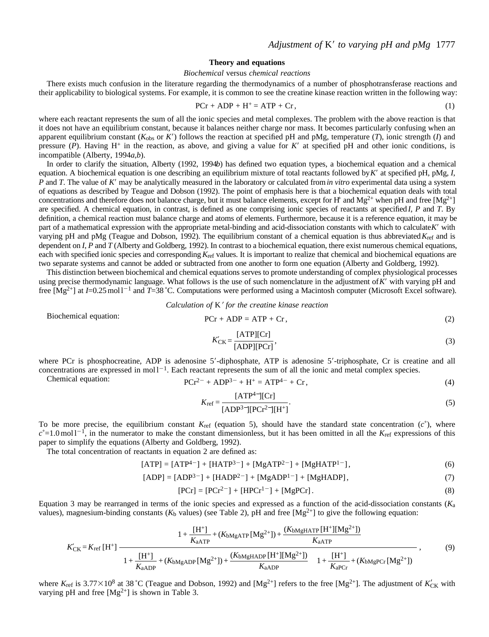## **Theory and equations**

#### *Biochemical* versus *chemical reactions*

There exists much confusion in the literature regarding the thermodynamics of a number of phosphotransferase reactions and their applicability to biological systems. For example, it is common to see the creatine kinase reaction written in the following way:

$$
PCr + ADP + H^{+} = ATP + Cr,
$$
\n(1)

where each reactant represents the sum of all the ionic species and metal complexes. The problem with the above reaction is that it does not have an equilibrium constant, because it balances neither charge nor mass. It becomes particularly confusing when an apparent equilibrium constant  $(K_{obs}$  or  $K'$ ) follows the reaction at specified pH and pMg, temperature  $(T)$ , ionic strength  $(I)$  and pressure  $(P)$ . Having H<sup>+</sup> in the reaction, as above, and giving a value for K' at specified pH and other ionic conditions, is incompatible (Alberty, 1994*a*,*b*).

In order to clarify the situation, Alberty (1992, 1994*b*) has defined two equation types, a biochemical equation and a chemical equation. A biochemical equation is one describing an equilibrium mixture of total reactants followed by *K*9 at specified pH, pMg, *I*, *P* and *T*. The value of *K*<sup> $\prime$ </sup> may be analytically measured in the laboratory or calculated from *in vitro* experimental data using a system of equations as described by Teague and Dobson (1992). The point of emphasis here is that a biochemical equation deals with total concentrations and therefore does not balance charge, but it must balance elements, except for H+ and Mg<sup>2+</sup> when pH and free  $[Mg^{2+}]$ are specified. A chemical equation, in contrast, is defined as one comprising ionic species of reactants at specified *I*, *P* and *T*. By definition, a chemical reaction must balance charge and atoms of elements. Furthermore, because it is a reference equation, it may be part of a mathematical expression with the appropriate metal-binding and acid-dissociation constants with which to calculate *K'* with varying pH and pMg (Teague and Dobson, 1992). The equilibrium constant of a chemical equation is thus abbreviated  $K_{\text{ref}}$  and is dependent on *I*, *P* and *T* (Alberty and Goldberg, 1992). In contrast to a biochemical equation, there exist numerous chemical equations, each with specified ionic species and corresponding *K*<sub>ref</sub> values. It is important to realize that chemical and biochemical equations are two separate systems and cannot be added or subtracted from one another to form one equation (Alberty and Goldberg, 1992).

This distinction between biochemical and chemical equations serves to promote understanding of complex physiological processes using precise thermodynamic language. What follows is the use of such nomenclature in the adjustment of K' with varying pH and free [Mg<sup>2+</sup>] at *I*=0.25 mol1<sup>-1</sup> and *T*=38 °C. Computations were performed using a Macintosh computer (Microsoft Excel software).

*Calculation of K' for the creatine kinase reaction* 

 $[ATD][C<sub>n</sub>]$ 

Biochemical equation: P

$$
Cr + ADP = ATP + Cr,
$$
 (2)

$$
K'_{\text{CK}} = \frac{[A \text{H} \Gamma][\text{C} \Gamma]}{[ADP][P \text{C} \Gamma]},
$$
\n(3)

where PCr is phosphocreatine, ADP is adenosine  $5'$ -diphosphate, ATP is adenosine  $5'$ -triphosphate, Cr is creatine and all concentrations are expressed in mol $1^{-1}$ . Each reactant represents the sum of all the ionic and metal complex species.

Chemical equation:  $PCr^{2-} + ADP^{3-} + H^+ = ATP^{4-} + Cr$ , (4)

$$
[ATP4][Cr]
$$

$$
K_{\rm ref} = \frac{1}{[ADP^3 - [[PCr^2 - [[H^+]]}].
$$
\n(5)

To be more precise, the equilibrium constant  $K_{\text{ref}}$  (equation 5), should have the standard state concentration  $(c^{\circ})$ , where  $c^{\circ}=1.0$  mol l<sup>-1</sup>, in the numerator to make the constant dimensionless, but it has been omitted in all the *K*<sub>ref</sub> expressions of this paper to simplify the equations (Alberty and Goldberg, 1992).

The total concentration of reactants in equation 2 are defined as:

$$
[ATP] = [ATP4-] + [HATP3-] + [MgATP2-] + [MgHATP1-], \qquad (6)
$$

$$
[ADP] = [ADP3-] + [HADP2-] + [MgADP1-] + [MgHADP], \qquad (7)
$$

$$
[PCr] = [PCr2^-] + [HPCr1^-] + [MgPCr].
$$
\n(8)

Equation 3 may be rearranged in terms of the ionic species and expressed as a function of the acid-dissociation constants (*K*a values), magnesium-binding constants ( $K_b$  values) (see Table 2), pH and free [Mg<sup>2+</sup>] to give the following equation:

$$
K'_{CK} = K_{ref} [H^+] \frac{1 + \frac{[H^+]}{K_{aATP}} + (K_{bMgATP} [Mg^{2+}]) + \frac{(K_{bMgHATP} [H^+][Mg^{2+}])}{K_{aATP}}}{\left\{1 + \frac{[H^+]}{K_{aADP}} + (K_{bMgADP} [Mg^{2+}]) + \frac{(K_{bMgHADP} [H^+][Mg^{2+}])}{K_{aADP}}\right\} \left\{1 + \frac{[H^+]}{K_{aPCr}} + (K_{bMgPCr} [Mg^{2+}])\right\}},
$$
\n(9)

where  $K_{\text{ref}}$  is 3.77×10<sup>8</sup> at 38 °C (Teague and Dobson, 1992) and [Mg<sup>2+</sup>] refers to the free [Mg<sup>2+</sup>]. The adjustment of  $K'_{\text{CK}}$  with varying pH and free  $[Mg^{2+}]$  is shown in Table 3.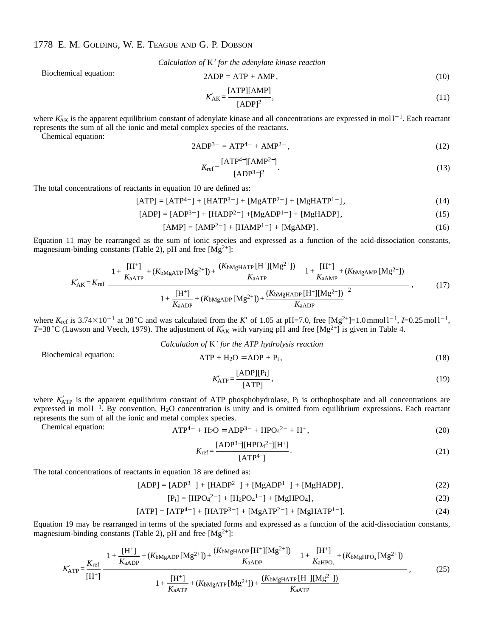# 1778 E. M. GOLDING, W. E. TEAGUE AND G. P. DOBSON

*Calculation of K' for the adenylate kinase reaction* 

Biochemical equation:

$$
2ADP = ATP + AMP,
$$
\n(10)

$$
K'_{\text{AK}} = \frac{[\text{ATP}][\text{AMP}]}{[\text{ADP}]^2},\tag{11}
$$

where  $K'_{AK}$  is the apparent equilibrium constant of adenylate kinase and all concentrations are expressed in mol  $1^{-1}$ . Each reactant represents the sum of all the ionic and metal complex species of the reactants.

Chemical equation:

$$
2ADP3- = ATP4- + AMP2-, \t(12)
$$

$$
K_{\rm ref} = \frac{[ATP^{4-}][AMP^{2-}]}{[ADP^{3-}]^2}.
$$
 (13)

The total concentrations of reactants in equation 10 are defined as:

 $[ATP] = [ATP<sup>4-</sup>] + [HATP<sup>3-</sup>] + [MgATP<sup>2-</sup>] + [MgHATP<sup>1-</sup>],$  (14)

$$
[ADP] = [ADP3-] + [HADP2-] + [MgADP1-] + [MgHADP], \qquad (15)
$$

$$
[AMP] = [AMP2-] + [HAMP1-] + [MgAMP]. \tag{16}
$$

Equation 11 may be rearranged as the sum of ionic species and expressed as a function of the acid-dissociation constants, magnesium-binding constants (Table 2), pH and free  $[Mg^{2+}]$ :

$$
K'_{AK} = K_{ref} \frac{\left\{1 + \frac{[H^+] }{K_{aATP}} + (K_{bMgATP} [Mg^{2+}]) + \frac{(K_{bMgHATP} [H^+][Mg^{2+}])}{K_{aATP}}\right\} \left\{1 + \frac{[H^+]}{K_{aAMP}} + (K_{bMgAMP} [Mg^{2+}])\right\}}{\left\{1 + \frac{[H^+]}{K_{aADP}} + (K_{bMgADP} [Mg^{2+}]) + \frac{(K_{bMgHADP} [H^+][Mg^{2+}])}{K_{aADP}}\right\}^2},\tag{17}
$$

where  $K_{\text{ref}}$  is 3.74×10<sup>-1</sup> at 38 °C and was calculated from the *K'* of 1.05 at pH=7.0, free  $[Mg^{2+}]$ =1.0 mmol l<sup>-1</sup>, *I*=0.25 mol l<sup>-1</sup>, *T*=38 °C (Lawson and Veech, 1979). The adjustment of  $K'_{AK}$  with varying pH and free [Mg<sup>2+</sup>] is given in Table 4.

*Calculation of K' for the ATP hydrolysis reaction* 

Biochemical equation:

$$
ATP + H_2O = ADP + P_i, \qquad (18)
$$

$$
K'_{\text{ATP}} = \frac{[\text{ADP}][\text{P}_i]}{[\text{ATP}]},\tag{19}
$$

where  $K'_{ATP}$  is the apparent equilibrium constant of ATP phosphohydrolase, P<sub>i</sub> is orthophosphate and all concentrations are expressed in mol $1^{-1}$ . By convention, H<sub>2</sub>O concentration is unity and is omitted from equilibrium expressions. Each reactant represents the sum of all the ionic and metal complex species.

Chemical equation:  $\mathbf{A}$ 

$$
ATP^{4-} + H_2O = ADP^{3-} + HPO_4^{2-} + H^+,
$$
\n(20)

$$
K_{\rm ref} = \frac{[\rm ADP^{3-}][\rm HPO_4{}^{2-}][\rm H^+]}{[\rm ATP^{4-}]}. \tag{21}
$$

The total concentrations of reactants in equation 18 are defined as:

$$
[ADP] = [ADP3-] + [HADP2-] + [MgADP1-] + [MgHADP],
$$
\n(22)

$$
[P_i] = [HPO_4^{2-}] + [H_2PO_4^{1-}] + [MgHPO_4],
$$
\n(23)

$$
[ATP] = [ATP4-] + [HATP3-] + [MgATP2-] + [MgHATP1-].
$$
 (24)

Equation 19 may be rearranged in terms of the speciated forms and expressed as a function of the acid-dissociation constants, magnesium-binding constants (Table 2), pH and free  $[Mg^{2+}]$ :

$$
K_{ATP} = \frac{K_{ref}}{[H^+]} \frac{\left\{1 + \frac{[H^+]}{K_{aADP}} + (K_{bMgADP}[Mg^{2+}]) + \frac{(K_{bMgHADP}[H^+][Mg^{2+}])}{K_{aADP}}\right\}\left\{1 + \frac{[H^+]}{K_{aHPO_4}} + (K_{bMgHPO_4}[Mg^{2+}])\right\}}{\left\{1 + \frac{[H^+]}{K_{aATP}} + (K_{bMgATP}[Mg^{2+}]) + \frac{(K_{bMgHATP}[H^+][Mg^{2+}])}{K_{aATP}}\right\}},
$$
(25)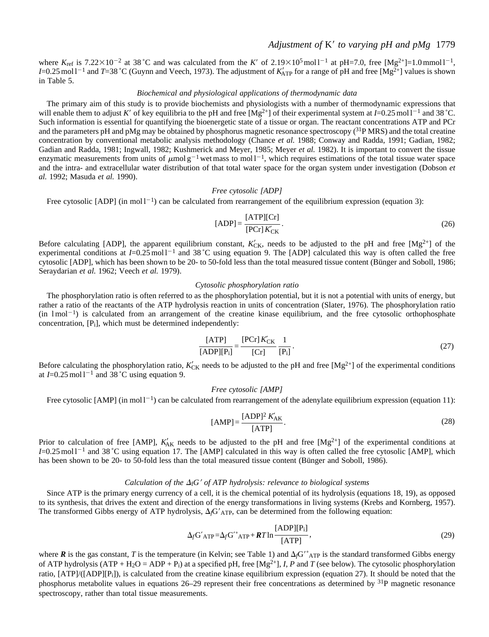## *Adjustment of* K9 *to varying pH and pMg* 1779

where  $K_{\text{ref}}$  is 7.22×10<sup>-2</sup> at 38 °C and was calculated from the *K'* of 2.19×10<sup>5</sup> mol l<sup>-1</sup> at pH=7.0, free [Mg<sup>2+</sup>]=1.0 mmol l<sup>-1</sup>, *I*=0.25 mol 1<sup>-1</sup> and *T*=38 °C (Guynn and Veech, 1973). The adjustment of  $K'_{\text{ATP}}$  for a range of pH and free [Mg<sup>2+</sup>] values is shown in Table 5.

## *Biochemical and physiological applications of thermodynamic data*

The primary aim of this study is to provide biochemists and physiologists with a number of thermodynamic expressions that will enable them to adjust K' of key equilibria to the pH and free  $[Mg^{2+}]$  of their experimental system at *I*=0.25 mol l<sup>-1</sup> and 38 °C. Such information is essential for quantifying the bioenergetic state of a tissue or organ. The reactant concentrations ATP and PCr and the parameters pH and pMg may be obtained by phosphorus magnetic resonance spectroscopy  $(3^{1}P MRS)$  and the total creatine concentration by conventional metabolic analysis methodology (Chance *et al.* 1988; Conway and Radda, 1991; Gadian, 1982; Gadian and Radda, 1981; Ingwall, 1982; Kushmerick and Meyer, 1985; Meyer *et al.* 1982). It is important to convert the tissue enzymatic measurements from units of  $\mu$ mol g<sup>-1</sup> wet mass to mol<sup>-1</sup>, which requires estimations of the total tissue water space and the intra- and extracellular water distribution of that total water space for the organ system under investigation (Dobson *et al.* 1992; Masuda *et al.* 1990).

#### *Free cytosolic [ADP]*

Free cytosolic [ADP] (in mol  $1^{-1}$ ) can be calculated from rearrangement of the equilibrium expression (equation 3):

$$
[ADP] = \frac{[ATP][Cr]}{[PCr]K'_{CK}}.
$$
\n(26)

Before calculating [ADP], the apparent equilibrium constant,  $K'_{CK}$ , needs to be adjusted to the pH and free [Mg<sup>2+</sup>] of the experimental conditions at  $I=0.25$  mol  $I^{-1}$  and 38 °C using equation 9. The [ADP] calculated this way is often called the free cytosolic [ADP], which has been shown to be 20- to 50-fold less than the total measured tissue content (Bünger and Soboll, 1986; Seraydarian *et al.* 1962; Veech *et al.* 1979).

#### *Cytosolic phosphorylation ratio*

The phosphorylation ratio is often referred to as the phosphorylation potential, but it is not a potential with units of energy, but rather a ratio of the reactants of the ATP hydrolysis reaction in units of concentration (Slater, 1976). The phosphorylation ratio  $(in \text{ }1\text{mol}^{-1})$  is calculated from an arrangement of the creatine kinase equilibrium, and the free cytosolic orthophosphate concentration, [Pi], which must be determined independently:

$$
\frac{\text{[ATP]}}{\text{[ADP][P_i]}} = \frac{\text{[PCr]} K'_{\text{CK}}}{\text{[Cr]}} \frac{1}{\text{[P_i]}}.
$$
\n(27)

Before calculating the phosphorylation ratio,  $K'_{CK}$  needs to be adjusted to the pH and free  $[Mg^{2+}]$  of the experimental conditions at  $I=0.25$  mol  $1^{-1}$  and 38 °C using equation 9.

#### *Free cytosolic [AMP]*

Free cytosolic [AMP] (in mol  $1^{-1}$ ) can be calculated from rearrangement of the adenylate equilibrium expression (equation 11):

$$
[AMP] = \frac{[ADP]^2 K'_{AK}}{[ATP]}.
$$
\n(28)

Prior to calculation of free [AMP],  $K'_{AK}$  needs to be adjusted to the pH and free [Mg<sup>2+</sup>] of the experimental conditions at  $I=0.25 \text{ mol}^{-1}$  and 38 °C using equation 17. The [AMP] calculated in this way is often called the free cytosolic [AMP], which has been shown to be 20- to 50-fold less than the total measured tissue content (Bünger and Soboll, 1986).

#### *Calculation of the*  $\Delta_f$ *G' of ATP hydrolysis: relevance to biological systems*

Since ATP is the primary energy currency of a cell, it is the chemical potential of its hydrolysis (equations 18, 19), as opposed to its synthesis, that drives the extent and direction of the energy transformations in living systems (Krebs and Kornberg, 1957). The transformed Gibbs energy of ATP hydrolysis,  $\Delta f$ <sup> $G$ </sup><sub>ATP</sub>, can be determined from the following equation:

$$
\Delta_f G'_{ATP} = \Delta_f G'^{\circ}_{ATP} + RT \ln \frac{[ADP][P_i]}{[ATP]},
$$
\n(29)

where  $\bm{R}$  is the gas constant, *T* is the temperature (in Kelvin; see Table 1) and  $\Delta f$ <sup>o</sup> $_{ATP}$  is the standard transformed Gibbs energy of ATP hydrolysis (ATP + H<sub>2</sub>O = ADP + P<sub>i</sub>) at a specified pH, free  $[Mg^{2+}]$ , *I*, *P* and *T* (see below). The cytosolic phosphorylation ratio, [ATP]/([ADP][Pi]), is calculated from the creatine kinase equilibrium expression (equation 27). It should be noted that the phosphorus metabolite values in equations 26–29 represent their free concentrations as determined by 31P magnetic resonance spectroscopy, rather than total tissue measurements.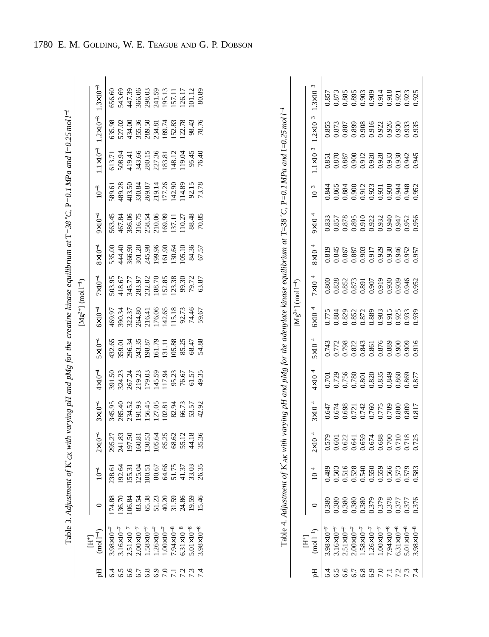|      |                                                                                                                                                                                                                        |                                                                                                                      |        |                                                                                                                                                                                                                                                                                                     |                    |                                                                                                                                                                  |                                                                                                                                                                  | $[Mg^{2+}]$ (mol $I^{-1}$ )                                                              |                                                                                                                         |                  |                                                                              |                                                                                              |                                                                                                                                                                                    |                                                                                                                                                             |  |
|------|------------------------------------------------------------------------------------------------------------------------------------------------------------------------------------------------------------------------|----------------------------------------------------------------------------------------------------------------------|--------|-----------------------------------------------------------------------------------------------------------------------------------------------------------------------------------------------------------------------------------------------------------------------------------------------------|--------------------|------------------------------------------------------------------------------------------------------------------------------------------------------------------|------------------------------------------------------------------------------------------------------------------------------------------------------------------|------------------------------------------------------------------------------------------|-------------------------------------------------------------------------------------------------------------------------|------------------|------------------------------------------------------------------------------|----------------------------------------------------------------------------------------------|------------------------------------------------------------------------------------------------------------------------------------------------------------------------------------|-------------------------------------------------------------------------------------------------------------------------------------------------------------|--|
|      | $(mod I^{-1})$<br>$\overline{H}$                                                                                                                                                                                       |                                                                                                                      | $10-4$ | $2 \times 10^{-4}$                                                                                                                                                                                                                                                                                  | $3 \times 10^{-4}$ | $4 \times 10^{-4}$                                                                                                                                               | $5 \times 10^{-4}$                                                                                                                                               | $6 \times 10^{-4}$                                                                       | $7\times10^{-4}$                                                                                                        | $8\times10^{-4}$ | $9 \times 10^{-4}$                                                           | $10^{-3}\,$                                                                                  |                                                                                                                                                                                    | $1.1 \times 10^{-3}$ $1.2 \times 10^{-3}$ $1.3 \times 10^{-3}$                                                                                              |  |
|      | $.98\times10^{-7}$                                                                                                                                                                                                     |                                                                                                                      |        |                                                                                                                                                                                                                                                                                                     |                    |                                                                                                                                                                  |                                                                                                                                                                  |                                                                                          |                                                                                                                         |                  |                                                                              |                                                                                              |                                                                                                                                                                                    |                                                                                                                                                             |  |
|      |                                                                                                                                                                                                                        |                                                                                                                      |        |                                                                                                                                                                                                                                                                                                     |                    |                                                                                                                                                                  |                                                                                                                                                                  |                                                                                          |                                                                                                                         |                  |                                                                              |                                                                                              |                                                                                                                                                                                    |                                                                                                                                                             |  |
|      | $\begin{array}{l} 3.16 \times 10^{-7} \\ 2.51 \times 10^{-7} \\ 2.00 \times 10^{-7} \\ 1.58 \times 10^{-7} \\ 1.26 \times 10^{-7} \\ 1.00 \times 10^{-7} \\ 7.94 \times 10^{-8} \\ 6.31 \times 10^{-8} \\ \end{array}$ | $174.88$<br>$136.70$<br>$130.84$<br>$130.84$<br>$130.72$<br>$130.84$<br>$130.84$<br>$130.84$<br>$150.84$<br>$150.84$ |        | $\begin{array}{l} 25.27 \\ 29.541 \\ 19.50 \\ 19.50 \\ 19.51 \\ 19.50 \\ 19.53 \\ 19.53 \\ 19.53 \\ 19.53 \\ 19.53 \\ 19.53 \\ 19.53 \\ 19.53 \\ 19.53 \\ 19.53 \\ 19.53 \\ 19.53 \\ 19.53 \\ 19.53 \\ 19.53 \\ 19.53 \\ 19.53 \\ 19.53 \\ 19.53 \\ 19.53 \\ 19.53 \\ 19.53 \\ 19.53 \\ 19.53 \\ 1$ |                    | $39.5039.7339.7339.8539.7339.7339.8339.7339.7339.7339.7339.7339.7339.7339.7339.7339.7339.7339.7339.7339.7339.7339.7339.7339.7339.7339.7339.7339.7339.7339.7339.$ | $\begin{array}{l} 43.65 \\ 43.90 \\ 359.81 \\ 539.83 \\ 739.83 \\ 739.83 \\ 81.29 \\ 101.7 \\ 111.8 \\ 83.83 \\ 74.88 \\ 85.48 \\ 54.88 \\ 54.88 \\ \end{array}$ | 469.97<br>390.34.37<br>320.37.37<br>2016.06<br>2016.06<br>115.13 99.67<br>74.46<br>79.67 | $\begin{array}{l} 503.95\\ 418.67\\ 418.77\\ 345.77\\ 283.9\\ 123.8\\ 188.7\\ 123.8\\ 99.3\\ 03.8\\ 03.8\\ \end{array}$ |                  | 563.45<br>467.84<br>586.06 75.34<br>58.54 75.000 75.000<br>58.85 70.85 70.85 | 589.61<br>489.28<br>493.50.87<br>50.87<br>50.87<br>50.11<br>50.12<br>50.12<br>50.17<br>50.17 | $\begin{array}{l} 613.71 \\ 508.94 \\ 419.41 \\ 343.66 \\ 201.5 \\ 360.15 \\ 201.36 \\ 121.36 \\ 123.12 \\ 124.41 \\ 125.44 \\ 136.40 \\ 148.11 \\ 159.64 \\ 164.0 \\ \end{array}$ | $\begin{array}{l} 635.98\\ 527.02\\ 527.03\\ 535.36\\ 734.31\\ 234.81\\ 234.81\\ 234.82\\ 234.81\\ 234.82\\ 234.83\\ 234.82\\ 235.76\\ 78.76\\ \end{array}$ |  |
|      |                                                                                                                                                                                                                        |                                                                                                                      |        |                                                                                                                                                                                                                                                                                                     |                    |                                                                                                                                                                  |                                                                                                                                                                  |                                                                                          |                                                                                                                         |                  |                                                                              |                                                                                              |                                                                                                                                                                                    |                                                                                                                                                             |  |
|      |                                                                                                                                                                                                                        |                                                                                                                      |        |                                                                                                                                                                                                                                                                                                     |                    |                                                                                                                                                                  |                                                                                                                                                                  |                                                                                          |                                                                                                                         |                  |                                                                              |                                                                                              |                                                                                                                                                                                    |                                                                                                                                                             |  |
|      |                                                                                                                                                                                                                        |                                                                                                                      |        |                                                                                                                                                                                                                                                                                                     |                    |                                                                                                                                                                  |                                                                                                                                                                  |                                                                                          |                                                                                                                         |                  |                                                                              |                                                                                              |                                                                                                                                                                                    |                                                                                                                                                             |  |
|      |                                                                                                                                                                                                                        |                                                                                                                      |        |                                                                                                                                                                                                                                                                                                     |                    |                                                                                                                                                                  |                                                                                                                                                                  |                                                                                          |                                                                                                                         |                  |                                                                              |                                                                                              |                                                                                                                                                                                    |                                                                                                                                                             |  |
|      |                                                                                                                                                                                                                        |                                                                                                                      |        |                                                                                                                                                                                                                                                                                                     |                    |                                                                                                                                                                  |                                                                                                                                                                  |                                                                                          |                                                                                                                         |                  |                                                                              |                                                                                              |                                                                                                                                                                                    |                                                                                                                                                             |  |
|      |                                                                                                                                                                                                                        |                                                                                                                      |        |                                                                                                                                                                                                                                                                                                     |                    |                                                                                                                                                                  |                                                                                                                                                                  |                                                                                          |                                                                                                                         |                  |                                                                              |                                                                                              |                                                                                                                                                                                    |                                                                                                                                                             |  |
| 7.27 | $5.01\times10^{-8}$                                                                                                                                                                                                    |                                                                                                                      |        |                                                                                                                                                                                                                                                                                                     |                    |                                                                                                                                                                  |                                                                                                                                                                  |                                                                                          |                                                                                                                         |                  |                                                                              |                                                                                              |                                                                                                                                                                                    |                                                                                                                                                             |  |
|      | $.98 \times 10^{-8}$                                                                                                                                                                                                   |                                                                                                                      |        |                                                                                                                                                                                                                                                                                                     |                    |                                                                                                                                                                  |                                                                                                                                                                  |                                                                                          |                                                                                                                         |                  |                                                                              |                                                                                              |                                                                                                                                                                                    |                                                                                                                                                             |  |

| I                       |
|-------------------------|
|                         |
|                         |
| $\frac{1}{3}$           |
|                         |
| Ì                       |
| I<br>ĺ                  |
|                         |
|                         |
| Ì                       |
| $\frac{1}{2}$           |
|                         |
|                         |
|                         |
| $\mathbb{F}^1$          |
|                         |
|                         |
|                         |
| $\frac{1}{2}$<br>ì<br>l |
|                         |
|                         |
|                         |
|                         |
|                         |
|                         |
|                         |
|                         |
| j                       |
|                         |
|                         |
|                         |
|                         |
|                         |
|                         |
|                         |
| <b>Control</b>          |
|                         |
|                         |
|                         |
|                         |
|                         |
| j                       |
|                         |
|                         |
| $\overline{a}$          |
|                         |
|                         |
| י<br>ו                  |
|                         |
|                         |
|                         |
|                         |
|                         |
|                         |
| IN N XF                 |
|                         |
|                         |
| ֕<br>֚֚֬<br>ׇ֚֘֡        |
|                         |
|                         |
|                         |
|                         |
|                         |
|                         |
|                         |
| ׇ֚֘                     |
|                         |
|                         |
|                         |
|                         |
|                         |

|                          | $3\times10^{-7}$<br>$.2 \times 10^{-3}$ |       | $357$<br>$383$<br>$383$<br>$383$<br>$385$<br>$303$<br>$0.90$<br>$0.91$<br>$0.925$<br>$0.925$<br>0.855<br>0.873<br>0.885 0.908<br>0.910 0.925<br>0.935 0.935                                                                                                                                         |     |                                                             |                       |  |                                  |  |                                                                                                                                                                      |
|--------------------------|-----------------------------------------|-------|-----------------------------------------------------------------------------------------------------------------------------------------------------------------------------------------------------------------------------------------------------------------------------------------------------|-----|-------------------------------------------------------------|-----------------------|--|----------------------------------|--|----------------------------------------------------------------------------------------------------------------------------------------------------------------------|
|                          | $1 \times 10^{-3}$                      |       | 0.851<br>0.870<br>0.870 0.912<br>0.920 0.938 8342<br>0.945 0.938 9.945                                                                                                                                                                                                                              |     |                                                             |                       |  |                                  |  |                                                                                                                                                                      |
|                          | $10^{-3}$                               |       | 1.844<br>1.865<br>1.864<br>1.912, 1.938<br>1.938<br>1.948<br>1.952<br>0.952                                                                                                                                                                                                                         |     |                                                             |                       |  |                                  |  |                                                                                                                                                                      |
|                          | $-01\times$                             |       | 1,833<br>1,857 8<br>1,858 5<br>0,910 0,940 5<br>0,950 0,940 5<br>0,956 0,956 0,956                                                                                                                                                                                                                  |     |                                                             |                       |  |                                  |  |                                                                                                                                                                      |
|                          | $8\times10^{-4}$                        |       | 0.819<br>0.845<br>0.867<br>0.929<br>0.938<br>0.957<br>0.957                                                                                                                                                                                                                                         |     |                                                             |                       |  |                                  |  |                                                                                                                                                                      |
| $\lfloor m \rfloor^{-1}$ | $7\times10^{-4}$                        |       | 0.800<br>0.828<br>0.852<br>0.873<br>0.945<br>0.945<br>0.952                                                                                                                                                                                                                                         |     |                                                             |                       |  |                                  |  |                                                                                                                                                                      |
| ${ {\rm Mg} ^{2+}}$      | $6\times10^{-4}$                        |       | $\begin{array}{r} 1.775 \\ 1.804 \\ 1.829 \\ 1.872 \\ 1.872 \\ 1.872 \\ 0.972 \\ 0.93 \\ 0.93 \\ 0.93 \\ 0.939 \\ 0.939 \\ 0.939 \\ 0.939 \\ 0.939 \\ 0.939 \\ 0.939 \\ 0.939 \\ 0.939 \\ 0.939 \\ 0.939 \\ 0.939 \\ 0.939 \\ 0.939 \\ 0.939 \\ 0.939 \\ 0.939 \\ 0.939 \\ 0.939 \\ 0.939 \\ 0.939$ |     |                                                             |                       |  |                                  |  |                                                                                                                                                                      |
|                          | $5\times10^{-4}$                        |       | 0.743<br>0.772<br>0.798<br>0.822<br>0.875<br>0.916<br>0.916                                                                                                                                                                                                                                         |     |                                                             |                       |  |                                  |  |                                                                                                                                                                      |
|                          | $4\times10^{-4}$                        |       | 0.701<br>0.729<br>0.756 0.820<br>0.820 0.849<br>0.877<br>0.877                                                                                                                                                                                                                                      |     |                                                             |                       |  |                                  |  |                                                                                                                                                                      |
|                          | $3\times10^{-4}$                        |       | $\begin{array}{l} 1.647 \\ 1.674 \\ 1.698 \\ 1.721 \\ 1.742 \\ 0.775 \\ 0.775 \\ 0.789 \\ 0.800 \\ 0.809 \\ 0.817 \\ \end{array}$                                                                                                                                                                   |     |                                                             |                       |  |                                  |  |                                                                                                                                                                      |
|                          | $2 \times 10^{-4}$                      |       |                                                                                                                                                                                                                                                                                                     |     |                                                             |                       |  |                                  |  |                                                                                                                                                                      |
|                          |                                         |       |                                                                                                                                                                                                                                                                                                     |     |                                                             |                       |  |                                  |  | 0.489<br>0.503 0.5140<br>0.5140 0.550 0.579<br>0.579 0.579 0.579<br>0.579 0.579 0.579                                                                                |
|                          |                                         | 0.380 |                                                                                                                                                                                                                                                                                                     |     | 0.380<br>0.380<br>0.379<br>0.377<br>0.377<br>0.377<br>0.376 |                       |  |                                  |  |                                                                                                                                                                      |
|                          | $(mod 1^{-1})$<br>$\overline{E}$        |       |                                                                                                                                                                                                                                                                                                     |     |                                                             |                       |  |                                  |  | 3.98810 <sup>-7</sup><br>3.16810 <sup>-7</sup><br>2.51810 <sup>-7</sup><br>2.00810 <sup>-7</sup><br>1.1.56810-7<br>1.00810- <sup>7</sup><br>5.01810-8<br>5.5.01810-8 |
|                          |                                         |       | 5.5                                                                                                                                                                                                                                                                                                 | 5.6 | 6.7                                                         | $6.8$<br>$6.9$<br>7.0 |  | $7.7$<br>$7.2$<br>$7.3$<br>$7.4$ |  |                                                                                                                                                                      |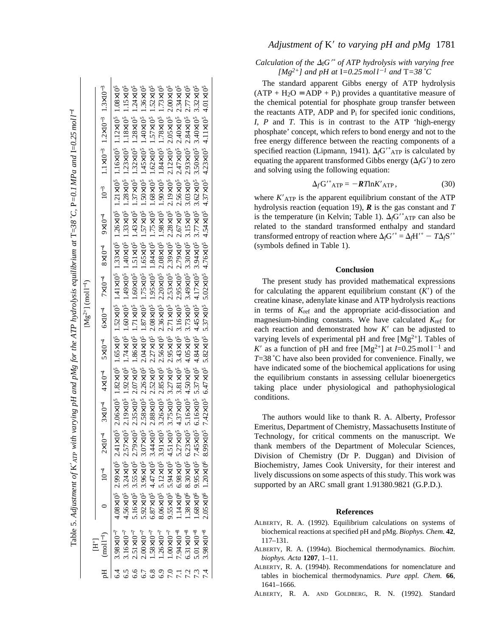| Table 5. Adjustment of $K$ are with varying pH and pMg for the ATP hydrolysis equilibrium at T=38 °C, P=0.1 MPa and I=0.25 mol $l^{-1}$ | $[Mg^{2+}]$ (mol $I^{-1}$ ) | ε-01x811 ε-01x211 ε-01x11 ε-01 + 01x6 + 01x8 + 01x2 + 01x9 + 01x5 + 01x7 + 01x6 + 01x2 + 01 | 4.08x10 <sup>5</sup> 2.9yx10 <sup>5</sup> 2.41x10 <sup>5</sup> 2.06x10 <sup>5</sup> 1.82x10 <sup>5</sup> 1.52x10 <sup>5</sup> 1.52x10 <sup>5</sup> 1.33x10 <sup>5</sup> 1.26x10 <sup>5</sup> 1.12x10 <sup>5</sup> 1.12x10 <sup>5</sup> 1.08x10 <sup>5</sup> | 4.56x10 <sup>5</sup> 3.24x10 <sup>5</sup> 2.57x10 <sup>5</sup> 2.19x10 <sup>5</sup> 1.74x10 <sup>5</sup> 1.40x10 <sup>5</sup> 1.40x10 <sup>5</sup> 1.40x10 <sup>5</sup> 1.33x10 <sup>5</sup> 1.23x10 <sup>5</sup> 1.23x10 <sup>5</sup> 1.18x10 <sup>5</sup> | 5.16x10 <sup>5</sup> 3.55x10 <sup>5</sup> 2.79x10 <sup>5</sup> 2.35x10 <sup>5</sup> 2.07x10 <sup>5</sup> 1.86x10 <sup>5</sup> 1.71x10 <sup>5</sup> 1.51x10 <sup>5</sup> 1.43x10 <sup>5</sup> 1.37x10 <sup>5</sup> 1.22x10 <sup>5</sup> 1.24x10 <sup>5</sup> | 6.92x10° 3.07x10° 3.07x10° 2.28x10° 2.26x10° 1.87x10° 1.75x10° 1.65x10° 1.57x10° 1.50x10° 1.45x10° 1.40x10° 1.36x10° | 6.87x10 <sup>5</sup> 4.47x10 <sup>5</sup> 3.44x10 <sup>5</sup> 2.88x10 <sup>5</sup> 2.27x10 <sup>5</sup> 2.27x10 <sup>5</sup> 1.8x10 <sup>5</sup> 1.84x10 <sup>5</sup> 1.75x10 <sup>5</sup> 1.68x10 <sup>5</sup> 1.62x10 <sup>5</sup> 1.52x10 <sup>5</sup> | 8.06x10° 5.12x10° 3.91x10° 3.26x10° 2.56x10° 2.56x10° 2.36x10° 2.08x10° 1.98x10° 1.98x10° 1.78x10° 1.73x10° | 9.55x10° 5.94x10° 4.51x10° 3.75x10° 3.27x10° 2.95x10° 2.71x10° 2.33x10° 2.28x10° 2.19x10° 2.12x10° 2.00x10° 2.00x10° | 1.14x105 5.27x105 5.27x105 4.37x105 3.81x105 3.43x105 3.16x105 2.79x105 2.67x105 2.56x105 2.40x105 2.44x105 4.34x105 | 1.38×10° 8.30×10° 6.23×10° 5.16×10° 4.50×10° 3.73×10° 3.73×10° 3.30×10° 3.15×10° 3.03×10° 2.93×10° 2.84×10° 2.77×10° | 1.68×10° 7.45×10° 6.16×10° 6.16×10° 5.37×10° 4.84×10° 4.15×10° 4.84×10° 3.94×10° 3.77×10° 3.62×10° 3.40×10° 3.40×10° 3.32×10° | 2.05×106 1.20×106 8.99×106 7.42×105 6.47×105 5.82×105 5.37×105 4.76×105 4.54×105 4.37×105 4.37×105 4.01×105 4.01×105 |
|-----------------------------------------------------------------------------------------------------------------------------------------|-----------------------------|---------------------------------------------------------------------------------------------|-------------------------------------------------------------------------------------------------------------------------------------------------------------------------------------------------------------------------------------------------------------|-------------------------------------------------------------------------------------------------------------------------------------------------------------------------------------------------------------------------------------------------------------|-------------------------------------------------------------------------------------------------------------------------------------------------------------------------------------------------------------------------------------------------------------|----------------------------------------------------------------------------------------------------------------------|------------------------------------------------------------------------------------------------------------------------------------------------------------------------------------------------------------------------------------------------------------|-------------------------------------------------------------------------------------------------------------|----------------------------------------------------------------------------------------------------------------------|----------------------------------------------------------------------------------------------------------------------|----------------------------------------------------------------------------------------------------------------------|-------------------------------------------------------------------------------------------------------------------------------|----------------------------------------------------------------------------------------------------------------------|
|                                                                                                                                         |                             |                                                                                             |                                                                                                                                                                                                                                                             |                                                                                                                                                                                                                                                             |                                                                                                                                                                                                                                                             |                                                                                                                      |                                                                                                                                                                                                                                                            |                                                                                                             |                                                                                                                      |                                                                                                                      |                                                                                                                      |                                                                                                                               |                                                                                                                      |
|                                                                                                                                         |                             |                                                                                             |                                                                                                                                                                                                                                                             |                                                                                                                                                                                                                                                             |                                                                                                                                                                                                                                                             |                                                                                                                      |                                                                                                                                                                                                                                                            |                                                                                                             |                                                                                                                      |                                                                                                                      |                                                                                                                      |                                                                                                                               |                                                                                                                      |
|                                                                                                                                         | $H^+$                       | $(mod I^{-1})$<br>면<br>모                                                                    | $3.98 \times 10^{-7}$<br>्यू                                                                                                                                                                                                                                | $1.16 \times 10^{-7}$<br>6.5                                                                                                                                                                                                                                | $2.51 \times 10^{-7}$<br>6.6                                                                                                                                                                                                                                | $2.00\times10^{-7}$                                                                                                  | $1.58 \times 10^{-7}$<br>6.8                                                                                                                                                                                                                               | $1.26 \times 10^{-7}$<br>6.9                                                                                | $1.00 \times 10^{-7}$<br>7.0                                                                                         | $7.94 \times 10^{-8}$<br>7.1                                                                                         | $6.31 \times 10^{-8}$<br>7.2                                                                                         | $5.01\times10^{-8}$<br>7.3                                                                                                    | $3.98 \times 10^{-8}$<br>7.4                                                                                         |

# *Adjustment of*  K 9 *to varying pH and pMg* 1781

## *Calculation of the*  $\Delta_f G'$  *of ATP hydrolysis with varying free*  $[Mg^{2+}]$  and pH at  $I = 0.25$  mol  $l^{-1}$  and  $T = 38$  °C

The standard apparent Gibbs energy of ATP hydrolysis  $(ATP + H<sub>2</sub>O = ADP + P<sub>i</sub>)$  provides a quantitative measure of the chemical potential for phosphate group transfer between the reactants ATP, ADP and P i for specifed ionic conditions, *I*, *P* and *T*. This is in contrast to the ATP 'high-energy phosphate' concept, which refers to bond energy and not to the free energy difference between the reacting components of a specified reaction (Lipmann, 1941).  $\Delta f$ G<sup>"</sup> ATP is calculated by equating the apparent transformed Gibbs energy  $(\Delta_f G')$  to zero and solving using the following equation:

$$
\Delta_f G^{\prime \circ} \text{ATP} = -\mathbf{R} T \text{ln} K' \text{ATP}, \qquad (30)
$$

where  $K'$ <sub>ATP</sub> is the apparent equilibrium constant of the ATP hydrolysis reaction (equation 19), *R* is the gas constant and *T* is the temperature (in Kelvin; Table 1).  $\Delta_f G^{\prime \circ}$ <sub>ATP</sub> can also be related to the standard transformed enthalpy and standard transformed entropy of reaction where  $\Delta_f G^{\prime \circ} = \Delta_f H^{\prime \circ} - T \Delta_f S^{\prime \circ}$ (symbols defined in Table 1).

## **Conclusion**

The present study has provided mathematical expressions for calculating the apparent equilibrium constant  $(K')$  of the creatine kinase, adenylate kinase and ATP hydrolysis reactions in terms of *K*ref and the appropriate acid-dissociation and magnesium-binding constants. We have calculated *K*ref for each reaction and demonstrated how  $K'$  can be adjusted to varying levels of experimental pH and free  $[Mg^{2+}]$ . Tables of *K*<sup>9</sup> as a function of pH and free [Mg<sup>2+</sup>] at *I*=0.25 mol 1<sup>-1</sup> and *T*=38 ˚C have also been provided for convenience. Finally, we have indicated some of the biochemical applications for using the equilibrium constants in assessing cellular bioenergetics taking place under physiological and pathophysiological conditions.

The authors would like to thank R. A. Alberty, Professor Emeritus, Department of Chemistry, Massachusetts Institute of Technology, for critical comments on the manuscript. We thank members of the Department of Molecular Sciences, Division of Chemistry (Dr P. Duggan) and Division of Biochemistry, James Cook University, for their interest and lively discussions on some aspects of this study. This work was supported by an ARC small grant 1.91380.9821 (G.P.D.).

#### **References**

- ALBERTY, R. A. (1992). Equilibrium calculations on systems of biochemical reactions at specified pH and pMg. *Biophys. Chem.* **42** , 117–131.
- ALBERTY, R. A. (1994 *a*). Biochemical thermodynamics. *Biochim. biophys. Acta* **1207**, 1–11.
- ALBERTY, R. A. (1994 *b*). Recommendations for nomenclature and tables in biochemical thermodynamics. *Pure appl. Chem.* **66** , 1641–1666.
- ALBERTY, R. A. AND GOLDBERG, R. N. (1992). Standard